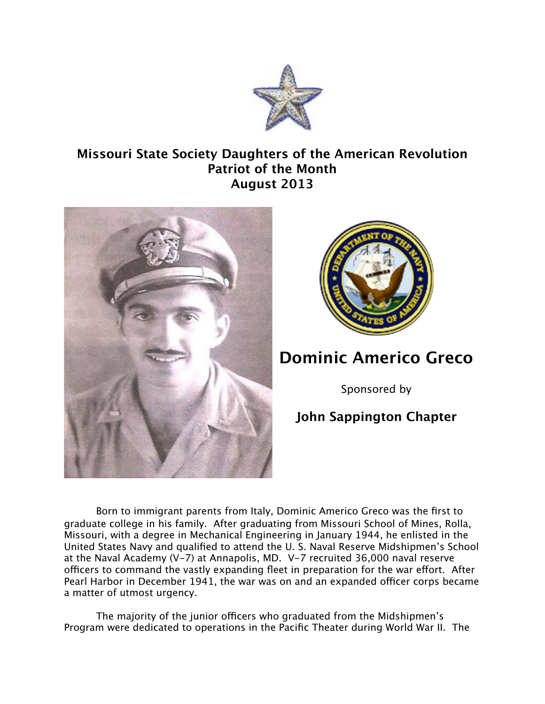

## **Missouri State Society Daughters of the American Revolution Patriot of the Month August 2013**





## **Dominic Americo Greco**

Sponsored by

## **John Sappington Chapter**

Born to immigrant parents from Italy, Dominic Americo Greco was the first to graduate college in his family. After graduating from Missouri School of Mines, Rolla, Missouri, with a degree in Mechanical Engineering in January 1944, he enlisted in the United States Navy and qualified to attend the U. S. Naval Reserve Midshipmen's School at the Naval Academy (V-7) at Annapolis, MD. V-7 recruited 36,000 naval reserve officers to command the vastly expanding fleet in preparation for the war effort. After Pearl Harbor in December 1941, the war was on and an expanded officer corps became a matter of utmost urgency.

The majority of the junior officers who graduated from the Midshipmen's Program were dedicated to operations in the Pacific Theater during World War II. The